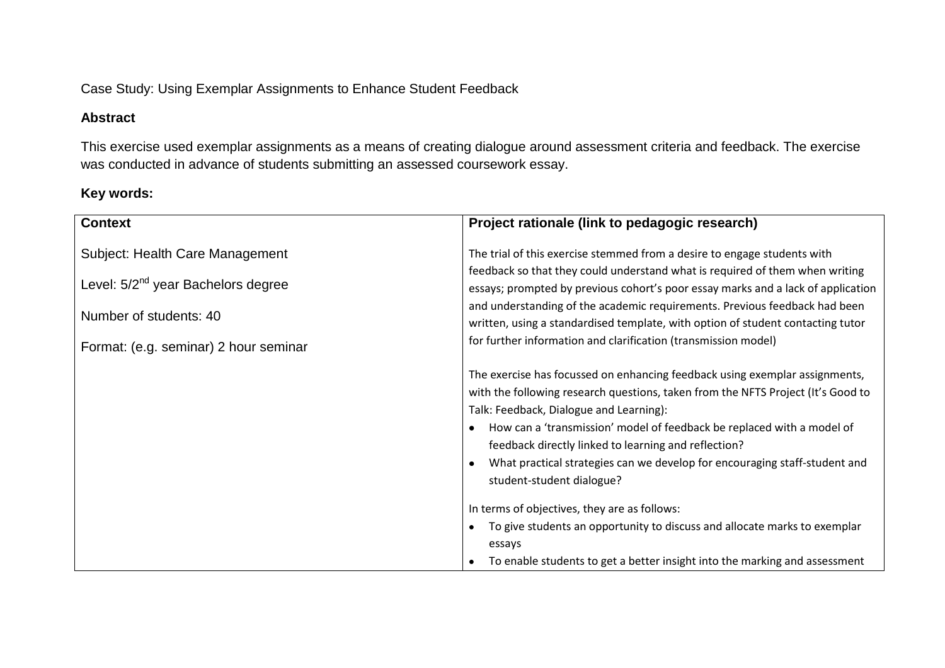Case Study: Using Exemplar Assignments to Enhance Student Feedback

## **Abstract**

This exercise used exemplar assignments as a means of creating dialogue around assessment criteria and feedback. The exercise was conducted in advance of students submitting an assessed coursework essay.

# **Key words:**

| <b>Context</b>                                                                                                                                       | Project rationale (link to pedagogic research)                                                                                                                                                                                                                                                                                                                                                                                                                                  |  |
|------------------------------------------------------------------------------------------------------------------------------------------------------|---------------------------------------------------------------------------------------------------------------------------------------------------------------------------------------------------------------------------------------------------------------------------------------------------------------------------------------------------------------------------------------------------------------------------------------------------------------------------------|--|
| Subject: Health Care Management<br>Level: 5/2 <sup>nd</sup> year Bachelors degree<br>Number of students: 40<br>Format: (e.g. seminar) 2 hour seminar | The trial of this exercise stemmed from a desire to engage students with<br>feedback so that they could understand what is required of them when writing<br>essays; prompted by previous cohort's poor essay marks and a lack of application<br>and understanding of the academic requirements. Previous feedback had been<br>written, using a standardised template, with option of student contacting tutor<br>for further information and clarification (transmission model) |  |
|                                                                                                                                                      | The exercise has focussed on enhancing feedback using exemplar assignments,<br>with the following research questions, taken from the NFTS Project (It's Good to<br>Talk: Feedback, Dialogue and Learning):<br>How can a 'transmission' model of feedback be replaced with a model of<br>feedback directly linked to learning and reflection?<br>What practical strategies can we develop for encouraging staff-student and<br>student-student dialogue?                         |  |
|                                                                                                                                                      | In terms of objectives, they are as follows:<br>To give students an opportunity to discuss and allocate marks to exemplar<br>essays<br>To enable students to get a better insight into the marking and assessment                                                                                                                                                                                                                                                               |  |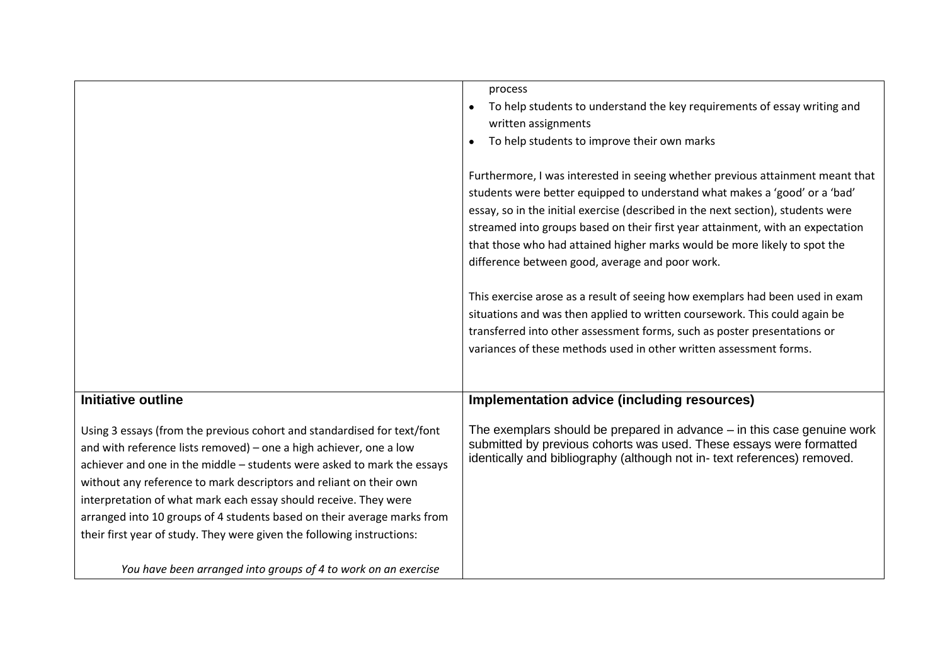|                                                                                                                                                                                                                                                                                                                                                                                                                                                                                                                         | process<br>To help students to understand the key requirements of essay writing and<br>written assignments<br>To help students to improve their own marks<br>$\bullet$<br>Furthermore, I was interested in seeing whether previous attainment meant that<br>students were better equipped to understand what makes a 'good' or a 'bad' |
|-------------------------------------------------------------------------------------------------------------------------------------------------------------------------------------------------------------------------------------------------------------------------------------------------------------------------------------------------------------------------------------------------------------------------------------------------------------------------------------------------------------------------|----------------------------------------------------------------------------------------------------------------------------------------------------------------------------------------------------------------------------------------------------------------------------------------------------------------------------------------|
|                                                                                                                                                                                                                                                                                                                                                                                                                                                                                                                         | essay, so in the initial exercise (described in the next section), students were<br>streamed into groups based on their first year attainment, with an expectation<br>that those who had attained higher marks would be more likely to spot the<br>difference between good, average and poor work.                                     |
|                                                                                                                                                                                                                                                                                                                                                                                                                                                                                                                         | This exercise arose as a result of seeing how exemplars had been used in exam<br>situations and was then applied to written coursework. This could again be<br>transferred into other assessment forms, such as poster presentations or<br>variances of these methods used in other written assessment forms.                          |
| <b>Initiative outline</b>                                                                                                                                                                                                                                                                                                                                                                                                                                                                                               | <b>Implementation advice (including resources)</b>                                                                                                                                                                                                                                                                                     |
| Using 3 essays (from the previous cohort and standardised for text/font<br>and with reference lists removed) - one a high achiever, one a low<br>achiever and one in the middle - students were asked to mark the essays<br>without any reference to mark descriptors and reliant on their own<br>interpretation of what mark each essay should receive. They were<br>arranged into 10 groups of 4 students based on their average marks from<br>their first year of study. They were given the following instructions: | The exemplars should be prepared in advance – in this case genuine work<br>submitted by previous cohorts was used. These essays were formatted<br>identically and bibliography (although not in- text references) removed.                                                                                                             |
| You have been arranged into groups of 4 to work on an exercise                                                                                                                                                                                                                                                                                                                                                                                                                                                          |                                                                                                                                                                                                                                                                                                                                        |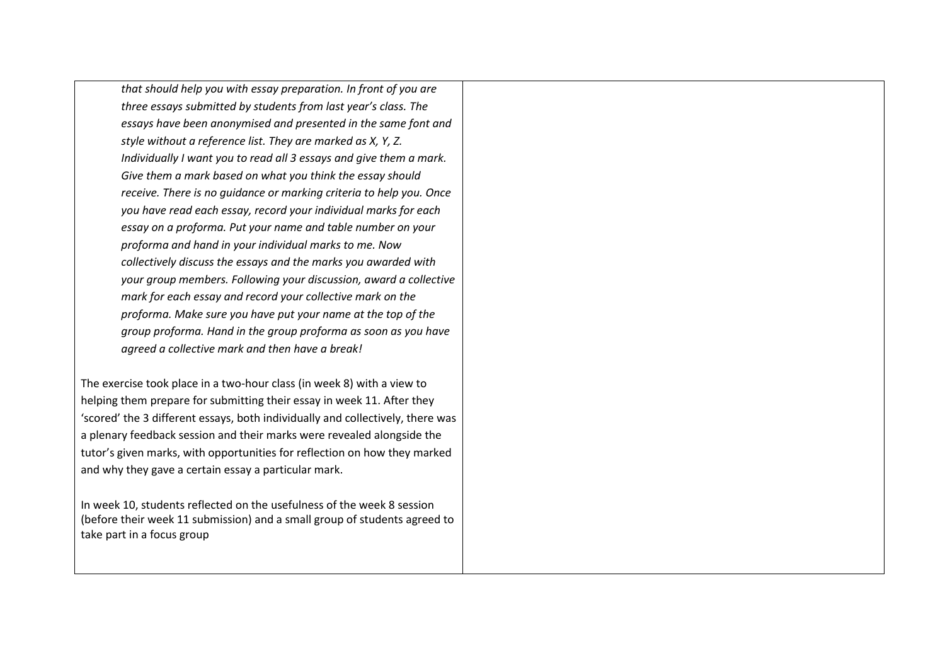*that should help you with essay preparation. In front of you are three essays submitted by students from last year's class. The essays have been anonymised and presented in the same font and style without a reference list. They are marked as X, Y, Z. Individually I want you to read all 3 essays and give them a mark. Give them a mark based on what you think the essay should receive. There is no guidance or marking criteria to help you. Once you have read each essay, record your individual marks for each essay on a proforma. Put your name and table number on your proforma and hand in your individual marks to me. Now collectively discuss the essays and the marks you awarded with your group members. Following your discussion, award a collective mark for each essay and record your collective mark on the proforma. Make sure you have put your name at the top of the group proforma. Hand in the group proforma as soon as you have agreed a collective mark and then have a break!*

The exercise took place in a two-hour class (in week 8) with a view to helping them prepare for submitting their essay in week 11. After they 'scored' the 3 different essays, both individually and collectively, there was a plenary feedback session and their marks were revealed alongside the tutor's given marks, with opportunities for reflection on how they marked and why they gave a certain essay a particular mark.

In week 10, students reflected on the usefulness of the week 8 session (before their week 11 submission) and a small group of students agreed to take part in a focus group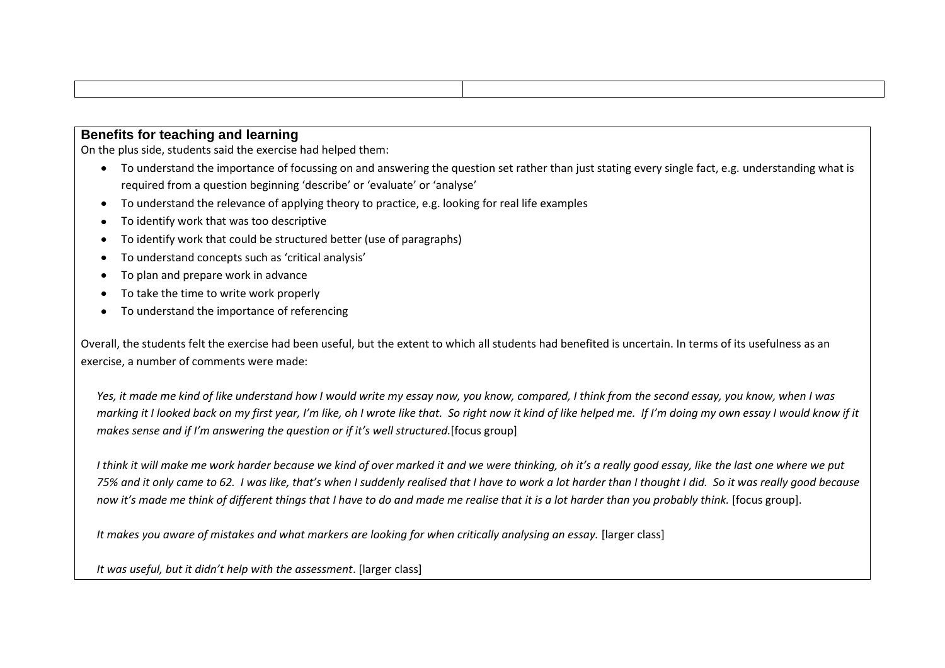#### **Benefits for teaching and learning**

On the plus side, students said the exercise had helped them:

- To understand the importance of focussing on and answering the question set rather than just stating every single fact, e.g. understanding what is required from a question beginning 'describe' or 'evaluate' or 'analyse'
- To understand the relevance of applying theory to practice, e.g. looking for real life examples  $\bullet$
- To identify work that was too descriptive  $\bullet$
- To identify work that could be structured better (use of paragraphs)
- To understand concepts such as 'critical analysis'
- To plan and prepare work in advance
- To take the time to write work properly
- To understand the importance of referencing

Overall, the students felt the exercise had been useful, but the extent to which all students had benefited is uncertain. In terms of its usefulness as an exercise, a number of comments were made:

*Yes, it made me kind of like understand how I would write my essay now, you know, compared, I think from the second essay, you know, when I was marking it I looked back on my first year, I'm like, oh I wrote like that. So right now it kind of like helped me. If I'm doing my own essay I would know if it makes sense and if I'm answering the question or if it's well structured.*[focus group]

*I think it will make me work harder because we kind of over marked it and we were thinking, oh it's a really good essay, like the last one where we put 75% and it only came to 62. I was like, that's when I suddenly realised that I have to work a lot harder than I thought I did. So it was really good because now it's made me think of different things that I have to do and made me realise that it is a lot harder than you probably think.* [focus group].

*It makes you aware of mistakes and what markers are looking for when critically analysing an essay.* [larger class]

*It was useful, but it didn't help with the assessment*. [larger class]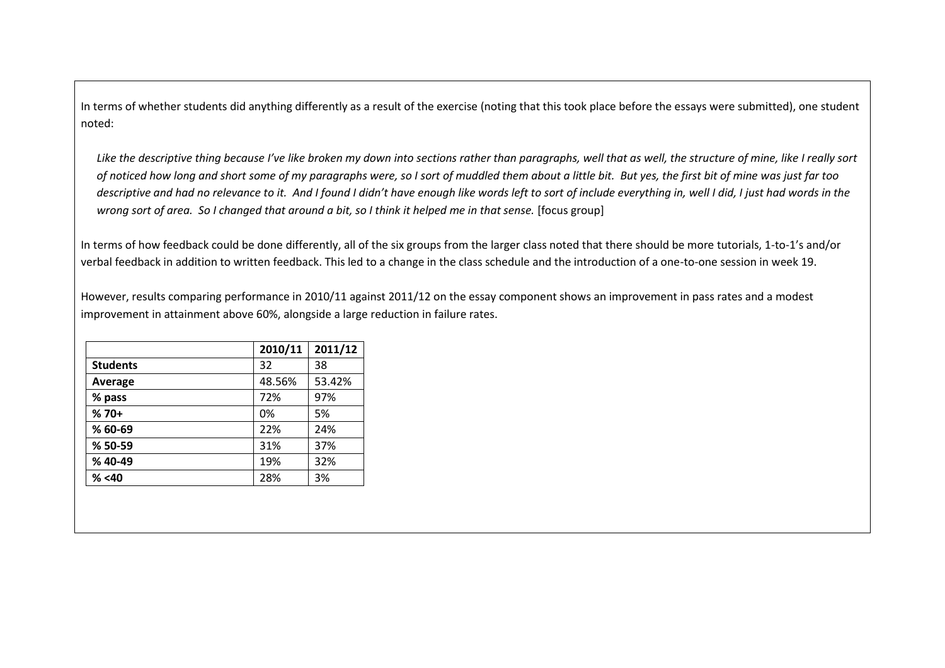In terms of whether students did anything differently as a result of the exercise (noting that this took place before the essays were submitted), one student noted:

Like the descriptive thing because I've like broken my down into sections rather than paragraphs, well that as well, the structure of mine, like I really sort *of noticed how long and short some of my paragraphs were, so I sort of muddled them about a little bit. But yes, the first bit of mine was just far too descriptive and had no relevance to it. And I found I didn't have enough like words left to sort of include everything in, well I did, I just had words in the wrong sort of area. So I changed that around a bit, so I think it helped me in that sense.* [focus group]

In terms of how feedback could be done differently, all of the six groups from the larger class noted that there should be more tutorials, 1-to-1's and/or verbal feedback in addition to written feedback. This led to a change in the class schedule and the introduction of a one-to-one session in week 19.

However, results comparing performance in 2010/11 against 2011/12 on the essay component shows an improvement in pass rates and a modest improvement in attainment above 60%, alongside a large reduction in failure rates.

|                 | 2010/11 | 2011/12 |
|-----------------|---------|---------|
| <b>Students</b> | 32      | 38      |
| <b>Average</b>  | 48.56%  | 53.42%  |
| % pass          | 72%     | 97%     |
| $%70+$          | 0%      | 5%      |
| % 60-69         | 22%     | 24%     |
| % 50-59         | 31%     | 37%     |
| %40-49          | 19%     | 32%     |
| % < 40          | 28%     | 3%      |